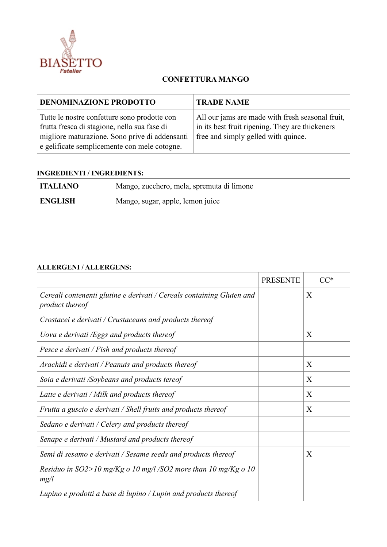

## **CONFETTURA MANGO**

| <b>DENOMINAZIONE PRODOTTO</b>                                                                                                                                                                  | <b>TRADE NAME</b>                                                                                                                          |
|------------------------------------------------------------------------------------------------------------------------------------------------------------------------------------------------|--------------------------------------------------------------------------------------------------------------------------------------------|
| Tutte le nostre confetture sono prodotte con<br>frutta fresca di stagione, nella sua fase di<br>migliore maturazione. Sono prive di addensanti<br>e gelificate semplicemente con mele cotogne. | All our jams are made with fresh seasonal fruit,<br>in its best fruit ripening. They are thickeners<br>free and simply gelled with quince. |

## **INGREDIENTI / INGREDIENTS:**

| <b>ITALIANO</b> | Mango, zucchero, mela, spremuta di limone |
|-----------------|-------------------------------------------|
| <b>ENGLISH</b>  | Mango, sugar, apple, lemon juice          |

## **ALLERGENI / ALLERGENS:**

|                                                                                          | <b>PRESENTE</b> | $CC^*$       |
|------------------------------------------------------------------------------------------|-----------------|--------------|
| Cereali contenenti glutine e derivati / Cereals containing Gluten and<br>product thereof |                 | X            |
| Crostacei e derivati / Crustaceans and products thereof                                  |                 |              |
| Uova e derivati /Eggs and products thereof                                               |                 | X            |
| Pesce e derivati / Fish and products thereof                                             |                 |              |
| Arachidi e derivati / Peanuts and products thereof                                       |                 | $\mathbf{X}$ |
| Soia e derivati /Soybeans and products tereof                                            |                 | X            |
| Latte e derivati / Milk and products thereof                                             |                 | X            |
| Frutta a guscio e derivati / Shell fruits and products thereof                           |                 | X            |
| Sedano e derivati / Celery and products thereof                                          |                 |              |
| Senape e derivati / Mustard and products thereof                                         |                 |              |
| Semi di sesamo e derivati / Sesame seeds and products thereof                            |                 | X            |
| Residuo in SO2>10 mg/Kg o 10 mg/l /SO2 more than 10 mg/Kg o 10<br>mg/l                   |                 |              |
| Lupino e prodotti a base di lupino / Lupin and products thereof                          |                 |              |